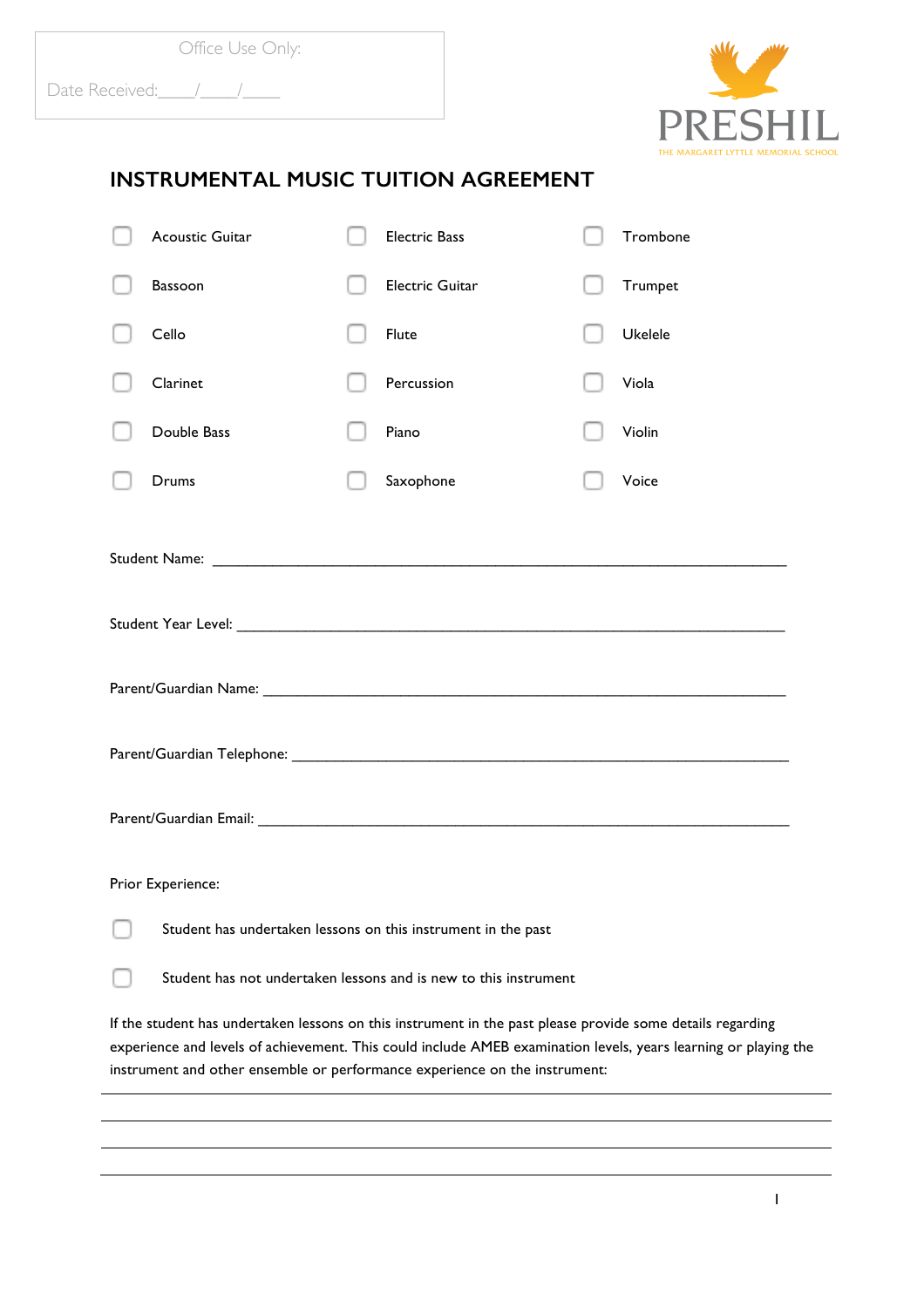

## **INSTRUMENTAL MUSIC TUITION AGREEMENT**

| <b>Acoustic Guitar</b>                                                                                                                                                                                                                                                                                      |  | <b>Electric Bass</b>   |  | Trombone |
|-------------------------------------------------------------------------------------------------------------------------------------------------------------------------------------------------------------------------------------------------------------------------------------------------------------|--|------------------------|--|----------|
| <b>Bassoon</b>                                                                                                                                                                                                                                                                                              |  | <b>Electric Guitar</b> |  | Trumpet  |
| Cello                                                                                                                                                                                                                                                                                                       |  | Flute                  |  | Ukelele  |
| Clarinet                                                                                                                                                                                                                                                                                                    |  | Percussion             |  | Viola    |
| Double Bass                                                                                                                                                                                                                                                                                                 |  | Piano                  |  | Violin   |
| Drums                                                                                                                                                                                                                                                                                                       |  | Saxophone              |  | Voice    |
|                                                                                                                                                                                                                                                                                                             |  |                        |  |          |
|                                                                                                                                                                                                                                                                                                             |  |                        |  |          |
|                                                                                                                                                                                                                                                                                                             |  |                        |  |          |
|                                                                                                                                                                                                                                                                                                             |  |                        |  |          |
| Parent/Guardian Email: Cambridge Communication of the Communication of the Communication of the Communication                                                                                                                                                                                               |  |                        |  |          |
| Prior Experience:                                                                                                                                                                                                                                                                                           |  |                        |  |          |
| Student has undertaken lessons on this instrument in the past                                                                                                                                                                                                                                               |  |                        |  |          |
| Student has not undertaken lessons and is new to this instrument                                                                                                                                                                                                                                            |  |                        |  |          |
| If the student has undertaken lessons on this instrument in the past please provide some details regarding<br>experience and levels of achievement. This could include AMEB examination levels, years learning or playing the<br>instrument and other ensemble or performance experience on the instrument: |  |                        |  |          |